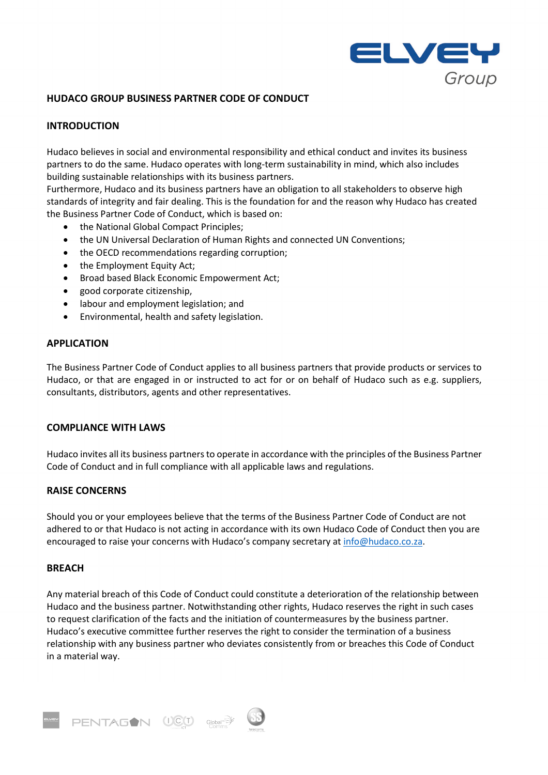

# **HUDACO GROUP BUSINESS PARTNER CODE OF CONDUCT**

# **INTRODUCTION**

Hudaco believes in social and environmental responsibility and ethical conduct and invites its business partners to do the same. Hudaco operates with long-term sustainability in mind, which also includes building sustainable relationships with its business partners.

Furthermore, Hudaco and its business partners have an obligation to all stakeholders to observe high standards of integrity and fair dealing. This is the foundation for and the reason why Hudaco has created the Business Partner Code of Conduct, which is based on:

- the National Global Compact Principles;
- the UN Universal Declaration of Human Rights and connected UN Conventions;
- the OECD recommendations regarding corruption;
- the Employment Equity Act;
- Broad based Black Economic Empowerment Act;
- good corporate citizenship,
- labour and employment legislation; and
- Environmental, health and safety legislation.

## **APPLICATION**

The Business Partner Code of Conduct applies to all business partners that provide products or services to Hudaco, or that are engaged in or instructed to act for or on behalf of Hudaco such as e.g. suppliers, consultants, distributors, agents and other representatives.

## **COMPLIANCE WITH LAWS**

Hudaco invites all its business partners to operate in accordance with the principles of the Business Partner Code of Conduct and in full compliance with all applicable laws and regulations.

## **RAISE CONCERNS**

Should you or your employees believe that the terms of the Business Partner Code of Conduct are not adhered to or that Hudaco is not acting in accordance with its own Hudaco Code of Conduct then you are encouraged to raise your concerns with Hudaco's company secretary a[t info@hudaco.co.za.](mailto:info@hudaco.co.za)

## **BREACH**

Any material breach of this Code of Conduct could constitute a deterioration of the relationship between Hudaco and the business partner. Notwithstanding other rights, Hudaco reserves the right in such cases to request clarification of the facts and the initiation of countermeasures by the business partner. Hudaco's executive committee further reserves the right to consider the termination of a business relationship with any business partner who deviates consistently from or breaches this Code of Conduct in a material way.

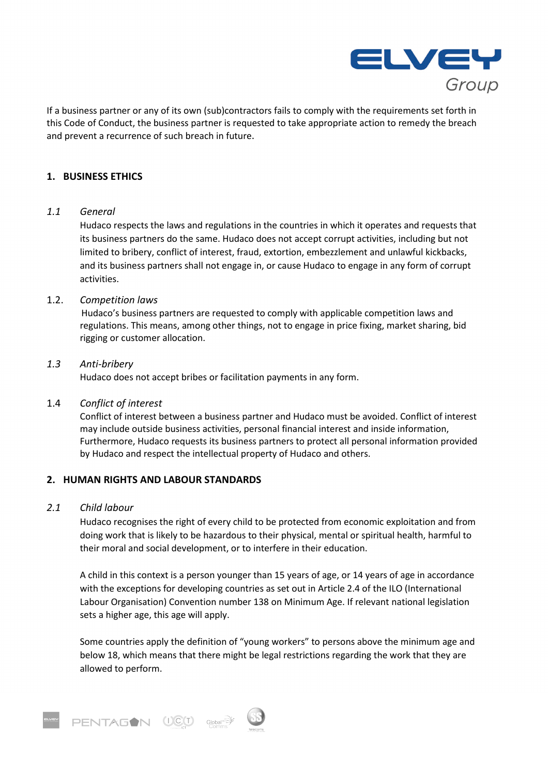

If a business partner or any of its own (sub)contractors fails to comply with the requirements set forth in this Code of Conduct, the business partner is requested to take appropriate action to remedy the breach and prevent a recurrence of such breach in future.

## **1. BUSINESS ETHICS**

## *1.1 General*

Hudaco respects the laws and regulations in the countries in which it operates and requests that its business partners do the same. Hudaco does not accept corrupt activities, including but not limited to bribery, conflict of interest, fraud, extortion, embezzlement and unlawful kickbacks, and its business partners shall not engage in, or cause Hudaco to engage in any form of corrupt activities.

## 1.2. *Competition laws*

Hudaco's business partners are requested to comply with applicable competition laws and regulations. This means, among other things, not to engage in price fixing, market sharing, bid rigging or customer allocation.

## *1.3 Anti-bribery*

Hudaco does not accept bribes or facilitation payments in any form.

## 1.4 *Conflict of interest*

Conflict of interest between a business partner and Hudaco must be avoided. Conflict of interest may include outside business activities, personal financial interest and inside information, Furthermore, Hudaco requests its business partners to protect all personal information provided by Hudaco and respect the intellectual property of Hudaco and others.

## **2. HUMAN RIGHTS AND LABOUR STANDARDS**

#### *2.1 Child labour*

Hudaco recognises the right of every child to be protected from economic exploitation and from doing work that is likely to be hazardous to their physical, mental or spiritual health, harmful to their moral and social development, or to interfere in their education.

A child in this context is a person younger than 15 years of age, or 14 years of age in accordance with the exceptions for developing countries as set out in Article 2.4 of the ILO (International Labour Organisation) Convention number 138 on Minimum Age. If relevant national legislation sets a higher age, this age will apply.

Some countries apply the definition of "young workers" to persons above the minimum age and below 18, which means that there might be legal restrictions regarding the work that they are allowed to perform.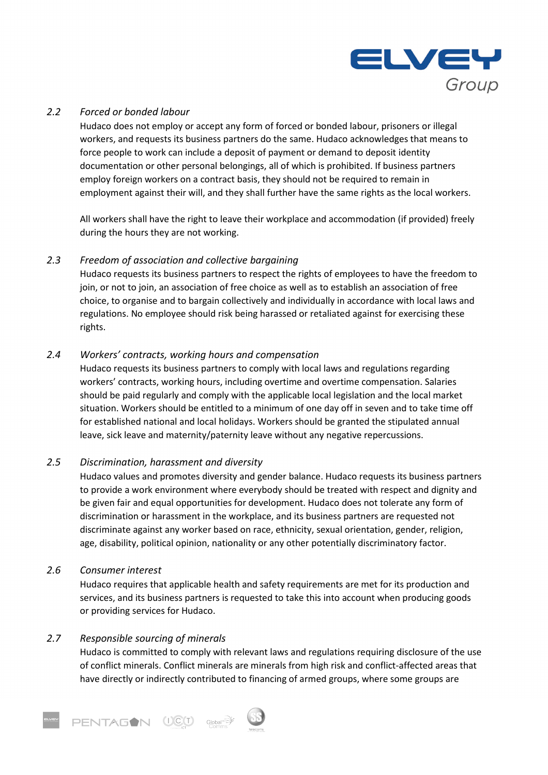

# *2.2 Forced or bonded labour*

Hudaco does not employ or accept any form of forced or bonded labour, prisoners or illegal workers, and requests its business partners do the same. Hudaco acknowledges that means to force people to work can include a deposit of payment or demand to deposit identity documentation or other personal belongings, all of which is prohibited. If business partners employ foreign workers on a contract basis, they should not be required to remain in employment against their will, and they shall further have the same rights as the local workers.

All workers shall have the right to leave their workplace and accommodation (if provided) freely during the hours they are not working.

## *2.3 Freedom of association and collective bargaining*

Hudaco requests its business partners to respect the rights of employees to have the freedom to join, or not to join, an association of free choice as well as to establish an association of free choice, to organise and to bargain collectively and individually in accordance with local laws and regulations. No employee should risk being harassed or retaliated against for exercising these rights.

## *2.4 Workers' contracts, working hours and compensation*

Hudaco requests its business partners to comply with local laws and regulations regarding workers' contracts, working hours, including overtime and overtime compensation. Salaries should be paid regularly and comply with the applicable local legislation and the local market situation. Workers should be entitled to a minimum of one day off in seven and to take time off for established national and local holidays. Workers should be granted the stipulated annual leave, sick leave and maternity/paternity leave without any negative repercussions.

# *2.5 Discrimination, harassment and diversity*

Hudaco values and promotes diversity and gender balance. Hudaco requests its business partners to provide a work environment where everybody should be treated with respect and dignity and be given fair and equal opportunities for development. Hudaco does not tolerate any form of discrimination or harassment in the workplace, and its business partners are requested not discriminate against any worker based on race, ethnicity, sexual orientation, gender, religion, age, disability, political opinion, nationality or any other potentially discriminatory factor.

## *2.6 Consumer interest*

Hudaco requires that applicable health and safety requirements are met for its production and services, and its business partners is requested to take this into account when producing goods or providing services for Hudaco.

## *2.7 Responsible sourcing of minerals*

Hudaco is committed to comply with relevant laws and regulations requiring disclosure of the use of conflict minerals. Conflict minerals are minerals from high risk and conflict-affected areas that have directly or indirectly contributed to financing of armed groups, where some groups are